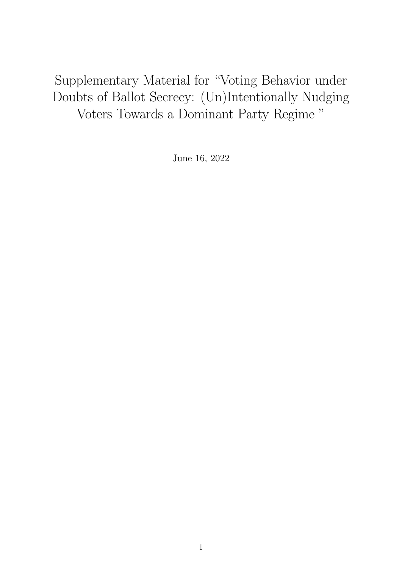Supplementary Material for "Voting Behavior under Doubts of Ballot Secrecy: (Un)Intentionally Nudging Voters Towards a Dominant Party Regime "

June 16, 2022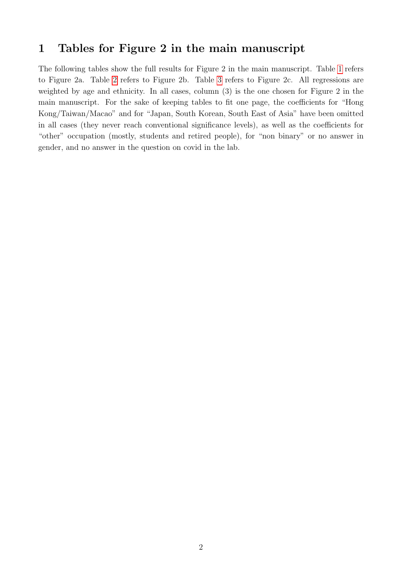## 1 Tables for Figure 2 in the main manuscript

The following tables show the full results for Figure 2 in the main manuscript. Table [1](#page-2-0) refers to Figure 2a. Table [2](#page-3-0) refers to Figure 2b. Table [3](#page-4-0) refers to Figure 2c. All regressions are weighted by age and ethnicity. In all cases, column (3) is the one chosen for Figure 2 in the main manuscript. For the sake of keeping tables to fit one page, the coefficients for "Hong Kong/Taiwan/Macao" and for "Japan, South Korean, South East of Asia" have been omitted in all cases (they never reach conventional significance levels), as well as the coefficients for "other" occupation (mostly, students and retired people), for "non binary" or no answer in gender, and no answer in the question on covid in the lab.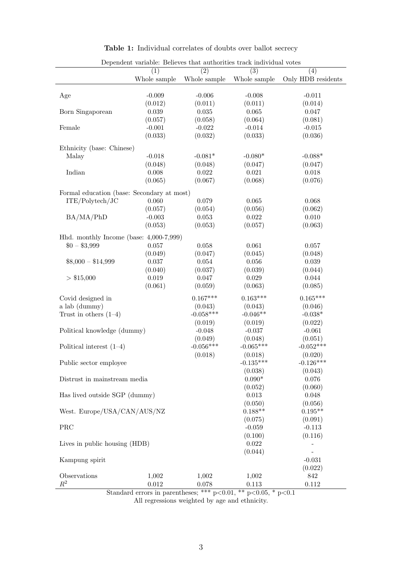| <b>Table 1:</b> Individual correlates of doubts over ballot secrecy |  |
|---------------------------------------------------------------------|--|
|---------------------------------------------------------------------|--|

<span id="page-2-0"></span>

| реренцент                                  | variable. Denevas unas ausnoriums sraek introdutar vosas<br>(1) | $\overline{(2)}$ | $\overline{(3)}$ | (4)                |
|--------------------------------------------|-----------------------------------------------------------------|------------------|------------------|--------------------|
|                                            | Whole sample                                                    | Whole sample     | Whole sample     | Only HDB residents |
|                                            |                                                                 |                  |                  |                    |
| Age                                        | $-0.009$                                                        | $-0.006$         | $-0.008$         | $-0.011$           |
|                                            | (0.012)                                                         | (0.011)          | (0.011)          | (0.014)            |
| Born Singaporean                           | $\,0.039\,$                                                     | $0.035\,$        | $\,0.065\,$      | 0.047              |
|                                            | (0.057)                                                         | (0.058)          | (0.064)          | (0.081)            |
| Female                                     | $-0.001$                                                        | $-0.022$         | $-0.014$         | $-0.015$           |
|                                            | (0.033)                                                         | (0.032)          | (0.033)          | (0.036)            |
|                                            |                                                                 |                  |                  |                    |
| Ethnicity (base: Chinese)                  |                                                                 |                  |                  |                    |
| Malay                                      | $-0.018$                                                        | $-0.081*$        | $-0.080*$        | $-0.088*$          |
|                                            | (0.048)                                                         | (0.048)          | (0.047)          | (0.047)            |
| Indian                                     | $0.008\,$                                                       | 0.022            | $\,0.021\,$      | 0.018              |
|                                            | (0.065)                                                         | (0.067)          | (0.068)          | (0.076)            |
| Formal education (base: Secondary at most) |                                                                 |                  |                  |                    |
| ITE/Polytech/JC                            | 0.060                                                           | 0.079            | 0.065            | 0.068              |
|                                            | (0.057)                                                         | (0.054)          | (0.056)          | (0.062)            |
| BA/MA/PhD                                  | $-0.003$                                                        | $\,0.053\,$      | $0.022\,$        | $0.010\,$          |
|                                            | (0.053)                                                         | (0.053)          | (0.057)          | (0.063)            |
|                                            |                                                                 |                  |                  |                    |
| Hhd. monthly Income (base: $4,000-7,999$ ) |                                                                 |                  |                  |                    |
| $$0 - $3,999$                              | $0.057\,$                                                       | $0.058\,$        | 0.061            | 0.057              |
|                                            | (0.049)                                                         | (0.047)          | (0.045)          | (0.048)            |
| $$8,000 - $14,999$                         | $0.037\,$                                                       | $\,0.054\,$      | $0.056\,$        | 0.039              |
|                                            | (0.040)                                                         | (0.037)          | (0.039)          | (0.044)            |
| > \$15,000                                 | $0.019\,$                                                       | 0.047            | $0.029\,$        | 0.044              |
|                                            | (0.061)                                                         | (0.059)          | (0.063)          | (0.085)            |
| Covid designed in                          |                                                                 | $0.167***$       | $0.163***$       | $0.165***$         |
| a lab (dummy)                              |                                                                 | (0.043)          | (0.043)          | (0.046)            |
| Trust in others $(1-4)$                    |                                                                 | $-0.058***$      | $-0.046**$       | $-0.038*$          |
|                                            |                                                                 | (0.019)          | (0.019)          | (0.022)            |
| Political knowledge (dummy)                |                                                                 | $-0.048$         | $-0.037$         | $-0.061$           |
|                                            |                                                                 | (0.049)          | (0.048)          | (0.051)            |
| Political interest $(1-4)$                 |                                                                 | $-0.056***$      | $-0.065***$      | $-0.052***$        |
|                                            |                                                                 | (0.018)          | (0.018)          | (0.020)            |
| Public sector employee                     |                                                                 |                  | $-0.135***$      | $-0.126***$        |
|                                            |                                                                 |                  | (0.038)          | (0.043)            |
| Distrust in mainstream media               |                                                                 |                  | $0.090*$         | 0.076              |
|                                            |                                                                 |                  | (0.052)          | (0.060)            |
| Has lived outside SGP (dummy)              |                                                                 |                  | $0.013\,$        | 0.048              |
|                                            |                                                                 |                  | (0.050)          | (0.056)            |
| West. Europe/USA/CAN/AUS/NZ                |                                                                 |                  | $0.188**$        | $0.195**$          |
|                                            |                                                                 |                  | (0.075)          | (0.091)            |
| PRC                                        |                                                                 |                  | $-0.059$         | $-0.113$           |
|                                            |                                                                 |                  | (0.100)          | (0.116)            |
| Lives in public housing (HDB)              |                                                                 |                  | $0.022\,$        |                    |
|                                            |                                                                 |                  | (0.044)          | $\overline{a}$     |
| Kampung spirit                             |                                                                 |                  |                  | $-0.031$           |
|                                            |                                                                 |                  |                  | (0.022)            |
| Observations                               | 1,002                                                           | 1,002            | 1,002            | $842\,$            |
| $\mathbb{R}^2$                             | $0.012\,$                                                       | 0.078            | 0.113            | $0.112\,$          |

Dependent variable: Believes that authorities track individual votes

Standard errors in parentheses; \*\*\*  $p<0.01$ , \*\*  $p<0.05$ , \*  $p<0.1$ All regressions weighted by age and ethnicity.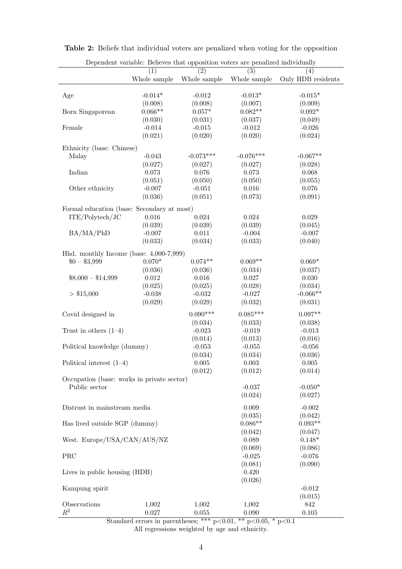| Only HDB residents<br>Whole sample<br>Whole sample<br>Whole sample<br>$-0.014*$<br>$-0.012$<br>$-0.013*$<br>$-0.015*$<br>Age<br>(0.008)<br>(0.008)<br>(0.007)<br>(0.009)<br>$0.066**$<br>$0.057*$<br>$0.082**$<br>$0.092*$<br>Born Singaporean<br>(0.030)<br>(0.031)<br>(0.037)<br>(0.049)<br>$-0.014$<br>$-0.015$<br>$-0.012$<br>$-0.026$<br>Female<br>(0.021)<br>(0.020)<br>(0.020)<br>(0.024)<br>Ethnicity (base: Chinese)<br>$-0.073***$<br>$-0.067**$<br>$-0.043$<br>$-0.076***$<br>Malay<br>(0.027)<br>(0.027)<br>(0.028)<br>(0.027)<br>Indian<br>0.073<br>$0.076\,$<br>0.073<br>0.068<br>(0.051)<br>(0.050)<br>(0.050)<br>(0.055)<br>$-0.007$<br>0.016<br>$0.076\,$<br>Other ethnicity<br>$-0.051$<br>(0.036)<br>(0.051)<br>(0.073)<br>(0.091)<br>Formal education (base: Secondary at most)<br>ITE/Polytech/JC<br>$0.016\,$<br>$0.024\,$<br>0.024<br>$0.029\,$<br>(0.039)<br>(0.039)<br>(0.039)<br>(0.045)<br>BA/MA/PhD<br>$-0.007$<br>$0.011\,$<br>$-0.004$<br>$-0.007$<br>(0.033)<br>(0.040)<br>(0.034)<br>(0.033)<br>Hhd. monthly Income (base: $4,000-7,999$ )<br>$$0 - $3,999$<br>$0.074**$<br>$0.069**$<br>$0.070*$<br>$0.069*$<br>(0.036)<br>(0.036)<br>(0.034)<br>(0.037)<br>$$8,000 - $14,999$<br>$0.012\,$<br>$0.016\,$<br>0.027<br>0.030<br>(0.025)<br>(0.034)<br>(0.025)<br>(0.028)<br>$-0.066**$<br>$-0.038$<br>> \$15,000<br>$-0.032$<br>$-0.027$<br>(0.029)<br>(0.032)<br>(0.031)<br>(0.029)<br>$0.090***$<br>$0.085***$<br>$0.097**$<br>Covid designed in<br>(0.034)<br>(0.033)<br>(0.038)<br>Trust in others $(1-4)$<br>$-0.023$<br>$-0.019$<br>$-0.013$<br>(0.014)<br>(0.013)<br>(0.016)<br>Political knowledge (dummy)<br>$-0.053$<br>$-0.055$<br>$-0.056$<br>(0.034)<br>(0.034)<br>(0.036) | Dependent variable: Believes that opposition voters are penalized individually |     |                  |                  |                   |
|------------------------------------------------------------------------------------------------------------------------------------------------------------------------------------------------------------------------------------------------------------------------------------------------------------------------------------------------------------------------------------------------------------------------------------------------------------------------------------------------------------------------------------------------------------------------------------------------------------------------------------------------------------------------------------------------------------------------------------------------------------------------------------------------------------------------------------------------------------------------------------------------------------------------------------------------------------------------------------------------------------------------------------------------------------------------------------------------------------------------------------------------------------------------------------------------------------------------------------------------------------------------------------------------------------------------------------------------------------------------------------------------------------------------------------------------------------------------------------------------------------------------------------------------------------------------------------------------------------------------------------------------------------------------------------------------------------------------|--------------------------------------------------------------------------------|-----|------------------|------------------|-------------------|
|                                                                                                                                                                                                                                                                                                                                                                                                                                                                                                                                                                                                                                                                                                                                                                                                                                                                                                                                                                                                                                                                                                                                                                                                                                                                                                                                                                                                                                                                                                                                                                                                                                                                                                                        |                                                                                | (1) | $\overline{(2)}$ | $\overline{(3)}$ | $\left( 4\right)$ |
|                                                                                                                                                                                                                                                                                                                                                                                                                                                                                                                                                                                                                                                                                                                                                                                                                                                                                                                                                                                                                                                                                                                                                                                                                                                                                                                                                                                                                                                                                                                                                                                                                                                                                                                        |                                                                                |     |                  |                  |                   |
|                                                                                                                                                                                                                                                                                                                                                                                                                                                                                                                                                                                                                                                                                                                                                                                                                                                                                                                                                                                                                                                                                                                                                                                                                                                                                                                                                                                                                                                                                                                                                                                                                                                                                                                        |                                                                                |     |                  |                  |                   |
|                                                                                                                                                                                                                                                                                                                                                                                                                                                                                                                                                                                                                                                                                                                                                                                                                                                                                                                                                                                                                                                                                                                                                                                                                                                                                                                                                                                                                                                                                                                                                                                                                                                                                                                        |                                                                                |     |                  |                  |                   |
|                                                                                                                                                                                                                                                                                                                                                                                                                                                                                                                                                                                                                                                                                                                                                                                                                                                                                                                                                                                                                                                                                                                                                                                                                                                                                                                                                                                                                                                                                                                                                                                                                                                                                                                        |                                                                                |     |                  |                  |                   |
|                                                                                                                                                                                                                                                                                                                                                                                                                                                                                                                                                                                                                                                                                                                                                                                                                                                                                                                                                                                                                                                                                                                                                                                                                                                                                                                                                                                                                                                                                                                                                                                                                                                                                                                        |                                                                                |     |                  |                  |                   |
|                                                                                                                                                                                                                                                                                                                                                                                                                                                                                                                                                                                                                                                                                                                                                                                                                                                                                                                                                                                                                                                                                                                                                                                                                                                                                                                                                                                                                                                                                                                                                                                                                                                                                                                        |                                                                                |     |                  |                  |                   |
|                                                                                                                                                                                                                                                                                                                                                                                                                                                                                                                                                                                                                                                                                                                                                                                                                                                                                                                                                                                                                                                                                                                                                                                                                                                                                                                                                                                                                                                                                                                                                                                                                                                                                                                        |                                                                                |     |                  |                  |                   |
|                                                                                                                                                                                                                                                                                                                                                                                                                                                                                                                                                                                                                                                                                                                                                                                                                                                                                                                                                                                                                                                                                                                                                                                                                                                                                                                                                                                                                                                                                                                                                                                                                                                                                                                        |                                                                                |     |                  |                  |                   |
|                                                                                                                                                                                                                                                                                                                                                                                                                                                                                                                                                                                                                                                                                                                                                                                                                                                                                                                                                                                                                                                                                                                                                                                                                                                                                                                                                                                                                                                                                                                                                                                                                                                                                                                        |                                                                                |     |                  |                  |                   |
|                                                                                                                                                                                                                                                                                                                                                                                                                                                                                                                                                                                                                                                                                                                                                                                                                                                                                                                                                                                                                                                                                                                                                                                                                                                                                                                                                                                                                                                                                                                                                                                                                                                                                                                        |                                                                                |     |                  |                  |                   |
|                                                                                                                                                                                                                                                                                                                                                                                                                                                                                                                                                                                                                                                                                                                                                                                                                                                                                                                                                                                                                                                                                                                                                                                                                                                                                                                                                                                                                                                                                                                                                                                                                                                                                                                        |                                                                                |     |                  |                  |                   |
|                                                                                                                                                                                                                                                                                                                                                                                                                                                                                                                                                                                                                                                                                                                                                                                                                                                                                                                                                                                                                                                                                                                                                                                                                                                                                                                                                                                                                                                                                                                                                                                                                                                                                                                        |                                                                                |     |                  |                  |                   |
|                                                                                                                                                                                                                                                                                                                                                                                                                                                                                                                                                                                                                                                                                                                                                                                                                                                                                                                                                                                                                                                                                                                                                                                                                                                                                                                                                                                                                                                                                                                                                                                                                                                                                                                        |                                                                                |     |                  |                  |                   |
|                                                                                                                                                                                                                                                                                                                                                                                                                                                                                                                                                                                                                                                                                                                                                                                                                                                                                                                                                                                                                                                                                                                                                                                                                                                                                                                                                                                                                                                                                                                                                                                                                                                                                                                        |                                                                                |     |                  |                  |                   |
|                                                                                                                                                                                                                                                                                                                                                                                                                                                                                                                                                                                                                                                                                                                                                                                                                                                                                                                                                                                                                                                                                                                                                                                                                                                                                                                                                                                                                                                                                                                                                                                                                                                                                                                        |                                                                                |     |                  |                  |                   |
|                                                                                                                                                                                                                                                                                                                                                                                                                                                                                                                                                                                                                                                                                                                                                                                                                                                                                                                                                                                                                                                                                                                                                                                                                                                                                                                                                                                                                                                                                                                                                                                                                                                                                                                        |                                                                                |     |                  |                  |                   |
|                                                                                                                                                                                                                                                                                                                                                                                                                                                                                                                                                                                                                                                                                                                                                                                                                                                                                                                                                                                                                                                                                                                                                                                                                                                                                                                                                                                                                                                                                                                                                                                                                                                                                                                        |                                                                                |     |                  |                  |                   |
|                                                                                                                                                                                                                                                                                                                                                                                                                                                                                                                                                                                                                                                                                                                                                                                                                                                                                                                                                                                                                                                                                                                                                                                                                                                                                                                                                                                                                                                                                                                                                                                                                                                                                                                        |                                                                                |     |                  |                  |                   |
|                                                                                                                                                                                                                                                                                                                                                                                                                                                                                                                                                                                                                                                                                                                                                                                                                                                                                                                                                                                                                                                                                                                                                                                                                                                                                                                                                                                                                                                                                                                                                                                                                                                                                                                        |                                                                                |     |                  |                  |                   |
|                                                                                                                                                                                                                                                                                                                                                                                                                                                                                                                                                                                                                                                                                                                                                                                                                                                                                                                                                                                                                                                                                                                                                                                                                                                                                                                                                                                                                                                                                                                                                                                                                                                                                                                        |                                                                                |     |                  |                  |                   |
|                                                                                                                                                                                                                                                                                                                                                                                                                                                                                                                                                                                                                                                                                                                                                                                                                                                                                                                                                                                                                                                                                                                                                                                                                                                                                                                                                                                                                                                                                                                                                                                                                                                                                                                        |                                                                                |     |                  |                  |                   |
|                                                                                                                                                                                                                                                                                                                                                                                                                                                                                                                                                                                                                                                                                                                                                                                                                                                                                                                                                                                                                                                                                                                                                                                                                                                                                                                                                                                                                                                                                                                                                                                                                                                                                                                        |                                                                                |     |                  |                  |                   |
|                                                                                                                                                                                                                                                                                                                                                                                                                                                                                                                                                                                                                                                                                                                                                                                                                                                                                                                                                                                                                                                                                                                                                                                                                                                                                                                                                                                                                                                                                                                                                                                                                                                                                                                        |                                                                                |     |                  |                  |                   |
|                                                                                                                                                                                                                                                                                                                                                                                                                                                                                                                                                                                                                                                                                                                                                                                                                                                                                                                                                                                                                                                                                                                                                                                                                                                                                                                                                                                                                                                                                                                                                                                                                                                                                                                        |                                                                                |     |                  |                  |                   |
|                                                                                                                                                                                                                                                                                                                                                                                                                                                                                                                                                                                                                                                                                                                                                                                                                                                                                                                                                                                                                                                                                                                                                                                                                                                                                                                                                                                                                                                                                                                                                                                                                                                                                                                        |                                                                                |     |                  |                  |                   |
|                                                                                                                                                                                                                                                                                                                                                                                                                                                                                                                                                                                                                                                                                                                                                                                                                                                                                                                                                                                                                                                                                                                                                                                                                                                                                                                                                                                                                                                                                                                                                                                                                                                                                                                        |                                                                                |     |                  |                  |                   |
|                                                                                                                                                                                                                                                                                                                                                                                                                                                                                                                                                                                                                                                                                                                                                                                                                                                                                                                                                                                                                                                                                                                                                                                                                                                                                                                                                                                                                                                                                                                                                                                                                                                                                                                        |                                                                                |     |                  |                  |                   |
|                                                                                                                                                                                                                                                                                                                                                                                                                                                                                                                                                                                                                                                                                                                                                                                                                                                                                                                                                                                                                                                                                                                                                                                                                                                                                                                                                                                                                                                                                                                                                                                                                                                                                                                        |                                                                                |     |                  |                  |                   |
|                                                                                                                                                                                                                                                                                                                                                                                                                                                                                                                                                                                                                                                                                                                                                                                                                                                                                                                                                                                                                                                                                                                                                                                                                                                                                                                                                                                                                                                                                                                                                                                                                                                                                                                        |                                                                                |     |                  |                  |                   |
|                                                                                                                                                                                                                                                                                                                                                                                                                                                                                                                                                                                                                                                                                                                                                                                                                                                                                                                                                                                                                                                                                                                                                                                                                                                                                                                                                                                                                                                                                                                                                                                                                                                                                                                        |                                                                                |     |                  |                  |                   |
|                                                                                                                                                                                                                                                                                                                                                                                                                                                                                                                                                                                                                                                                                                                                                                                                                                                                                                                                                                                                                                                                                                                                                                                                                                                                                                                                                                                                                                                                                                                                                                                                                                                                                                                        |                                                                                |     |                  |                  |                   |
|                                                                                                                                                                                                                                                                                                                                                                                                                                                                                                                                                                                                                                                                                                                                                                                                                                                                                                                                                                                                                                                                                                                                                                                                                                                                                                                                                                                                                                                                                                                                                                                                                                                                                                                        |                                                                                |     |                  |                  |                   |
|                                                                                                                                                                                                                                                                                                                                                                                                                                                                                                                                                                                                                                                                                                                                                                                                                                                                                                                                                                                                                                                                                                                                                                                                                                                                                                                                                                                                                                                                                                                                                                                                                                                                                                                        |                                                                                |     |                  |                  |                   |
|                                                                                                                                                                                                                                                                                                                                                                                                                                                                                                                                                                                                                                                                                                                                                                                                                                                                                                                                                                                                                                                                                                                                                                                                                                                                                                                                                                                                                                                                                                                                                                                                                                                                                                                        |                                                                                |     |                  |                  |                   |
|                                                                                                                                                                                                                                                                                                                                                                                                                                                                                                                                                                                                                                                                                                                                                                                                                                                                                                                                                                                                                                                                                                                                                                                                                                                                                                                                                                                                                                                                                                                                                                                                                                                                                                                        |                                                                                |     |                  |                  |                   |
|                                                                                                                                                                                                                                                                                                                                                                                                                                                                                                                                                                                                                                                                                                                                                                                                                                                                                                                                                                                                                                                                                                                                                                                                                                                                                                                                                                                                                                                                                                                                                                                                                                                                                                                        |                                                                                |     |                  |                  |                   |
| 0.005<br>0.003<br>0.005<br>Political interest $(1-4)$                                                                                                                                                                                                                                                                                                                                                                                                                                                                                                                                                                                                                                                                                                                                                                                                                                                                                                                                                                                                                                                                                                                                                                                                                                                                                                                                                                                                                                                                                                                                                                                                                                                                  |                                                                                |     |                  |                  |                   |
| (0.012)<br>(0.012)<br>(0.014)                                                                                                                                                                                                                                                                                                                                                                                                                                                                                                                                                                                                                                                                                                                                                                                                                                                                                                                                                                                                                                                                                                                                                                                                                                                                                                                                                                                                                                                                                                                                                                                                                                                                                          |                                                                                |     |                  |                  |                   |
| Occupation (base: works in private sector)<br>$-0.050*$                                                                                                                                                                                                                                                                                                                                                                                                                                                                                                                                                                                                                                                                                                                                                                                                                                                                                                                                                                                                                                                                                                                                                                                                                                                                                                                                                                                                                                                                                                                                                                                                                                                                |                                                                                |     |                  |                  |                   |
| Public sector<br>$-0.037$                                                                                                                                                                                                                                                                                                                                                                                                                                                                                                                                                                                                                                                                                                                                                                                                                                                                                                                                                                                                                                                                                                                                                                                                                                                                                                                                                                                                                                                                                                                                                                                                                                                                                              |                                                                                |     |                  |                  |                   |
| (0.024)<br>(0.027)                                                                                                                                                                                                                                                                                                                                                                                                                                                                                                                                                                                                                                                                                                                                                                                                                                                                                                                                                                                                                                                                                                                                                                                                                                                                                                                                                                                                                                                                                                                                                                                                                                                                                                     |                                                                                |     |                  |                  |                   |
| 0.009<br>$-0.002$<br>Distrust in mainstream media                                                                                                                                                                                                                                                                                                                                                                                                                                                                                                                                                                                                                                                                                                                                                                                                                                                                                                                                                                                                                                                                                                                                                                                                                                                                                                                                                                                                                                                                                                                                                                                                                                                                      |                                                                                |     |                  |                  |                   |
| (0.042)<br>(0.035)                                                                                                                                                                                                                                                                                                                                                                                                                                                                                                                                                                                                                                                                                                                                                                                                                                                                                                                                                                                                                                                                                                                                                                                                                                                                                                                                                                                                                                                                                                                                                                                                                                                                                                     |                                                                                |     |                  |                  |                   |
| $0.093**$<br>$0.086**$<br>Has lived outside SGP (dummy)                                                                                                                                                                                                                                                                                                                                                                                                                                                                                                                                                                                                                                                                                                                                                                                                                                                                                                                                                                                                                                                                                                                                                                                                                                                                                                                                                                                                                                                                                                                                                                                                                                                                |                                                                                |     |                  |                  |                   |
| (0.042)<br>(0.047)                                                                                                                                                                                                                                                                                                                                                                                                                                                                                                                                                                                                                                                                                                                                                                                                                                                                                                                                                                                                                                                                                                                                                                                                                                                                                                                                                                                                                                                                                                                                                                                                                                                                                                     |                                                                                |     |                  |                  |                   |
| $0.148*$<br>West. Europe/USA/CAN/AUS/NZ<br>0.089                                                                                                                                                                                                                                                                                                                                                                                                                                                                                                                                                                                                                                                                                                                                                                                                                                                                                                                                                                                                                                                                                                                                                                                                                                                                                                                                                                                                                                                                                                                                                                                                                                                                       |                                                                                |     |                  |                  |                   |
| (0.069)<br>(0.086)                                                                                                                                                                                                                                                                                                                                                                                                                                                                                                                                                                                                                                                                                                                                                                                                                                                                                                                                                                                                                                                                                                                                                                                                                                                                                                                                                                                                                                                                                                                                                                                                                                                                                                     |                                                                                |     |                  |                  |                   |
| PRC<br>$-0.025$<br>$-0.076$                                                                                                                                                                                                                                                                                                                                                                                                                                                                                                                                                                                                                                                                                                                                                                                                                                                                                                                                                                                                                                                                                                                                                                                                                                                                                                                                                                                                                                                                                                                                                                                                                                                                                            |                                                                                |     |                  |                  |                   |
| (0.090)<br>(0.081)                                                                                                                                                                                                                                                                                                                                                                                                                                                                                                                                                                                                                                                                                                                                                                                                                                                                                                                                                                                                                                                                                                                                                                                                                                                                                                                                                                                                                                                                                                                                                                                                                                                                                                     |                                                                                |     |                  |                  |                   |
| 0.420<br>Lives in public housing (HDB)                                                                                                                                                                                                                                                                                                                                                                                                                                                                                                                                                                                                                                                                                                                                                                                                                                                                                                                                                                                                                                                                                                                                                                                                                                                                                                                                                                                                                                                                                                                                                                                                                                                                                 |                                                                                |     |                  |                  |                   |
| (0.026)                                                                                                                                                                                                                                                                                                                                                                                                                                                                                                                                                                                                                                                                                                                                                                                                                                                                                                                                                                                                                                                                                                                                                                                                                                                                                                                                                                                                                                                                                                                                                                                                                                                                                                                |                                                                                |     |                  |                  |                   |
| $-0.012$<br>Kampung spirit                                                                                                                                                                                                                                                                                                                                                                                                                                                                                                                                                                                                                                                                                                                                                                                                                                                                                                                                                                                                                                                                                                                                                                                                                                                                                                                                                                                                                                                                                                                                                                                                                                                                                             |                                                                                |     |                  |                  |                   |
| (0.015)                                                                                                                                                                                                                                                                                                                                                                                                                                                                                                                                                                                                                                                                                                                                                                                                                                                                                                                                                                                                                                                                                                                                                                                                                                                                                                                                                                                                                                                                                                                                                                                                                                                                                                                |                                                                                |     |                  |                  |                   |
| 842<br>Observations<br>1,002<br>1,002<br>1,002                                                                                                                                                                                                                                                                                                                                                                                                                                                                                                                                                                                                                                                                                                                                                                                                                                                                                                                                                                                                                                                                                                                                                                                                                                                                                                                                                                                                                                                                                                                                                                                                                                                                         |                                                                                |     |                  |                  |                   |
| $\mathbb{R}^2$<br>0.027<br>$0.055\,$<br>0.090<br>$0.105\,$                                                                                                                                                                                                                                                                                                                                                                                                                                                                                                                                                                                                                                                                                                                                                                                                                                                                                                                                                                                                                                                                                                                                                                                                                                                                                                                                                                                                                                                                                                                                                                                                                                                             |                                                                                |     |                  |                  |                   |

<span id="page-3-0"></span>Table 2: Beliefs that individual voters are penalized when voting for the opposition

Standard errors in parentheses; \*\*\*  $p<0.01$ , \*\*  $p<0.05$ , \*  $p<0.1$ 

All regressions weighted by age and ethnicity.